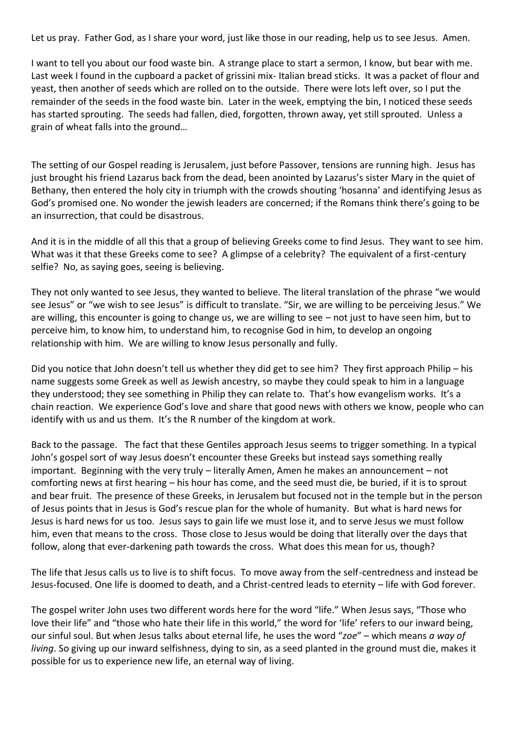Let us pray. Father God, as I share your word, just like those in our reading, help us to see Jesus. Amen.

I want to tell you about our food waste bin. A strange place to start a sermon, I know, but bear with me. Last week I found in the cupboard a packet of grissini mix- Italian bread sticks. It was a packet of flour and yeast, then another of seeds which are rolled on to the outside. There were lots left over, so I put the remainder of the seeds in the food waste bin. Later in the week, emptying the bin, I noticed these seeds has started sprouting. The seeds had fallen, died, forgotten, thrown away, yet still sprouted. Unless a grain of wheat falls into the ground…

The setting of our Gospel reading is Jerusalem, just before Passover, tensions are running high. Jesus has just brought his friend Lazarus back from the dead, been anointed by Lazarus's sister Mary in the quiet of Bethany, then entered the holy city in triumph with the crowds shouting 'hosanna' and identifying Jesus as God's promised one. No wonder the jewish leaders are concerned; if the Romans think there's going to be an insurrection, that could be disastrous.

And it is in the middle of all this that a group of believing Greeks come to find Jesus. They want to see him. What was it that these Greeks come to see? A glimpse of a celebrity? The equivalent of a first-century selfie? No, as saying goes, seeing is believing.

They not only wanted to see Jesus, they wanted to believe. The literal translation of the phrase "we would see Jesus" or "we wish to see Jesus" is difficult to translate. "Sir, we are willing to be perceiving Jesus." We are willing, this encounter is going to change us, we are willing to see – not just to have seen him, but to perceive him, to know him, to understand him, to recognise God in him, to develop an ongoing relationship with him. We are willing to know Jesus personally and fully.

Did you notice that John doesn't tell us whether they did get to see him? They first approach Philip – his name suggests some Greek as well as Jewish ancestry, so maybe they could speak to him in a language they understood; they see something in Philip they can relate to. That's how evangelism works. It's a chain reaction. We experience God's love and share that good news with others we know, people who can identify with us and us them. It's the R number of the kingdom at work.

Back to the passage. The fact that these Gentiles approach Jesus seems to trigger something. In a typical John's gospel sort of way Jesus doesn't encounter these Greeks but instead says something really important. Beginning with the very truly – literally Amen, Amen he makes an announcement – not comforting news at first hearing – his hour has come, and the seed must die, be buried, if it is to sprout and bear fruit. The presence of these Greeks, in Jerusalem but focused not in the temple but in the person of Jesus points that in Jesus is God's rescue plan for the whole of humanity. But what is hard news for Jesus is hard news for us too. Jesus says to gain life we must lose it, and to serve Jesus we must follow him, even that means to the cross. Those close to Jesus would be doing that literally over the days that follow, along that ever-darkening path towards the cross. What does this mean for us, though?

The life that Jesus calls us to live is to shift focus. To move away from the self-centredness and instead be Jesus-focused. One life is doomed to death, and a Christ-centred leads to eternity – life with God forever.

The gospel writer John uses two different words here for the word "life." When Jesus says, "Those who love their life" and "those who hate their life in this world," the word for 'life' refers to our inward being, our sinful soul. But when Jesus talks about eternal life, he uses the word "*zoe*" – which means *a way of living*. So giving up our inward selfishness, dying to sin, as a seed planted in the ground must die, makes it possible for us to experience new life, an eternal way of living.